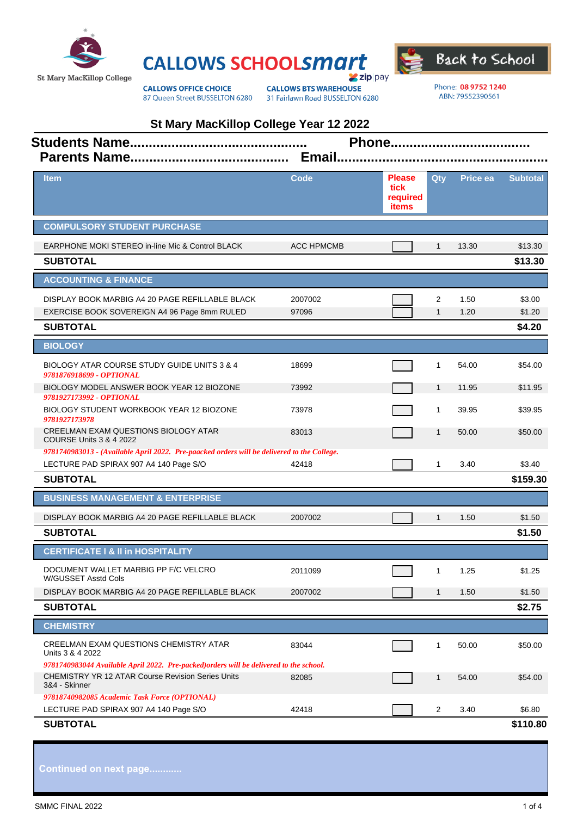





**CALLOWS OFFICE CHOICE** 87 Queen Street BUSSELTON 6280

**CALLOWS BTS WAREHOUSE** 31 Fairlawn Road BUSSELTON 6280 Phone: 08 9752 1240 ABN: 79552390561

| St Mary MacKillop College Year 12 2022<br><b>Students Name</b><br>Phone<br>Email.<br><b>Parents Name.</b>                                                            |                   |                                                   |                   |              |                            |  |
|----------------------------------------------------------------------------------------------------------------------------------------------------------------------|-------------------|---------------------------------------------------|-------------------|--------------|----------------------------|--|
| <b>Item</b>                                                                                                                                                          | <b>Code</b>       | <b>Please</b><br>tick<br>required<br><b>items</b> | Qty               | Price ea     | <b>Subtotal</b>            |  |
| <b>COMPULSORY STUDENT PURCHASE</b>                                                                                                                                   |                   |                                                   |                   |              |                            |  |
| <b>EARPHONE MOKI STEREO in-line Mic &amp; Control BLACK</b><br><b>SUBTOTAL</b>                                                                                       | <b>ACC HPMCMB</b> |                                                   | $\mathbf{1}$      | 13.30        | \$13.30<br>\$13.30         |  |
| <b>ACCOUNTING &amp; FINANCE</b>                                                                                                                                      |                   |                                                   |                   |              |                            |  |
| DISPLAY BOOK MARBIG A4 20 PAGE REFILLABLE BLACK<br>EXERCISE BOOK SOVEREIGN A4 96 Page 8mm RULED<br><b>SUBTOTAL</b>                                                   | 2007002<br>97096  |                                                   | 2<br>$\mathbf{1}$ | 1.50<br>1.20 | \$3.00<br>\$1.20<br>\$4.20 |  |
| <b>BIOLOGY</b>                                                                                                                                                       |                   |                                                   |                   |              |                            |  |
| BIOLOGY ATAR COURSE STUDY GUIDE UNITS 3 & 4<br>9781876918699 - OPTIONAL                                                                                              | 18699             |                                                   | 1                 | 54.00        | \$54.00                    |  |
| BIOLOGY MODEL ANSWER BOOK YEAR 12 BIOZONE<br>9781927173992 - OPTIONAL                                                                                                | 73992             |                                                   | $\mathbf{1}$      | 11.95        | \$11.95                    |  |
| BIOLOGY STUDENT WORKBOOK YEAR 12 BIOZONE<br>9781927173978                                                                                                            | 73978             |                                                   | $\mathbf{1}$      | 39.95        | \$39.95                    |  |
| CREELMAN EXAM QUESTIONS BIOLOGY ATAR<br><b>COURSE Units 3 &amp; 4 2022</b>                                                                                           | 83013             |                                                   | $\mathbf{1}$      | 50.00        | \$50.00                    |  |
| 9781740983013 - (Available April 2022. Pre-paacked orders will be delivered to the College.<br>LECTURE PAD SPIRAX 907 A4 140 Page S/O                                | 42418             |                                                   | $\mathbf{1}$      | 3.40         | \$3.40                     |  |
| <b>SUBTOTAL</b>                                                                                                                                                      |                   |                                                   |                   |              | \$159.30                   |  |
| <b>BUSINESS MANAGEMENT &amp; ENTERPRISE</b>                                                                                                                          |                   |                                                   |                   |              |                            |  |
| DISPLAY BOOK MARBIG A4 20 PAGE REFILLABLE BLACK                                                                                                                      | 2007002           |                                                   | $\mathbf{1}$      | 1.50         | \$1.50                     |  |
| <b>SUBTOTAL</b>                                                                                                                                                      |                   |                                                   |                   |              | \$1.50                     |  |
| <b>CERTIFICATE I &amp; II in HOSPITALITY</b>                                                                                                                         |                   |                                                   |                   |              |                            |  |
| DOCUMENT WALLET MARBIG PP F/C VELCRO<br>W/GUSSET Asstd Cols                                                                                                          | 2011099           |                                                   | $\mathbf{1}$      | 1.25         | \$1.25                     |  |
| DISPLAY BOOK MARBIG A4 20 PAGE REFILLABLE BLACK                                                                                                                      | 2007002           |                                                   | $\mathbf{1}$      | 1.50         | \$1.50                     |  |
| <b>SUBTOTAL</b>                                                                                                                                                      |                   |                                                   |                   |              | \$2.75                     |  |
| <b>CHEMISTRY</b>                                                                                                                                                     |                   |                                                   |                   |              |                            |  |
| CREELMAN EXAM QUESTIONS CHEMISTRY ATAR<br>Units 3 & 4 2022                                                                                                           | 83044             |                                                   | 1                 | 50.00        | \$50.00                    |  |
| 9781740983044 Available April 2022. Pre-packed) orders will be delivered to the school.<br><b>CHEMISTRY YR 12 ATAR Course Revision Series Units</b><br>3&4 - Skinner | 82085             |                                                   | $\mathbf{1}$      | 54.00        | \$54.00                    |  |
| 97818740982085 Academic Task Force (OPTIONAL)<br>LECTURE PAD SPIRAX 907 A4 140 Page S/O                                                                              | 42418             |                                                   | 2                 | 3.40         | \$6.80                     |  |
| <b>SUBTOTAL</b>                                                                                                                                                      |                   |                                                   |                   |              | \$110.80                   |  |

**Continued on next page............**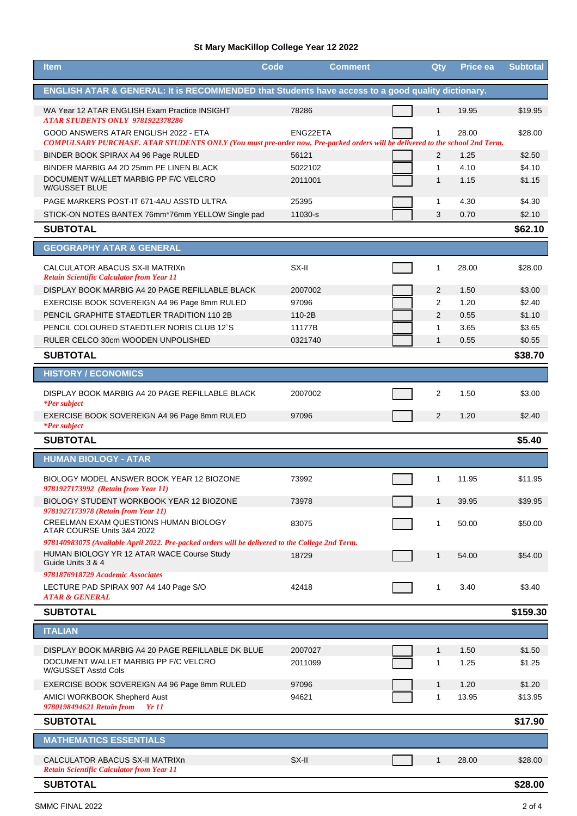## **St Mary MacKillop College Year 12 2022**

| <b>Item</b>                                                                                                                                                                                                     | Code     | <b>Comment</b> | Qty            | Price ea | <b>Subtotal</b> |
|-----------------------------------------------------------------------------------------------------------------------------------------------------------------------------------------------------------------|----------|----------------|----------------|----------|-----------------|
| ENGLISH ATAR & GENERAL: It is RECOMMENDED that Students have access to a good quality dictionary.                                                                                                               |          |                |                |          |                 |
| WA Year 12 ATAR ENGLISH Exam Practice INSIGHT                                                                                                                                                                   | 78286    |                | $\mathbf{1}$   | 19.95    | \$19.95         |
| <b>ATAR STUDENTS ONLY 9781922378286</b><br>GOOD ANSWERS ATAR ENGLISH 2022 - ETA<br>COMPULSARY PURCHASE. ATAR STUDENTS ONLY (You must pre-order now. Pre-packed orders will be delivered to the school 2nd Term. | ENG22ETA |                | $\mathbf{1}$   | 28.00    | \$28.00         |
| BINDER BOOK SPIRAX A4 96 Page RULED                                                                                                                                                                             | 56121    |                | $\overline{2}$ | 1.25     | \$2.50          |
| BINDER MARBIG A4 2D 25mm PE LINEN BLACK                                                                                                                                                                         | 5022102  |                | $\mathbf{1}$   | 4.10     | \$4.10          |
| DOCUMENT WALLET MARBIG PP F/C VELCRO<br><b>W/GUSSET BLUE</b>                                                                                                                                                    | 2011001  |                | $\mathbf{1}$   | 1.15     | \$1.15          |
| PAGE MARKERS POST-IT 671-4AU ASSTD ULTRA                                                                                                                                                                        | 25395    |                | $\mathbf 1$    | 4.30     | \$4.30          |
| STICK-ON NOTES BANTEX 76mm*76mm YELLOW Single pad                                                                                                                                                               | 11030-s  |                | 3              | 0.70     | \$2.10          |
| <b>SUBTOTAL</b>                                                                                                                                                                                                 |          |                |                |          | \$62.10         |
| <b>GEOGRAPHY ATAR &amp; GENERAL</b>                                                                                                                                                                             |          |                |                |          |                 |
| CALCULATOR ABACUS SX-II MATRIXn<br><b>Retain Scientific Calculator from Year 11</b>                                                                                                                             | SX-II    |                | 1              | 28.00    | \$28.00         |
| DISPLAY BOOK MARBIG A4 20 PAGE REFILLABLE BLACK                                                                                                                                                                 | 2007002  |                | 2              | 1.50     | \$3.00          |
| EXERCISE BOOK SOVEREIGN A4 96 Page 8mm RULED                                                                                                                                                                    | 97096    |                | $\overline{2}$ | 1.20     | \$2.40          |
| PENCIL GRAPHITE STAEDTLER TRADITION 110 2B                                                                                                                                                                      | 110-2B   |                | $\overline{2}$ | 0.55     | \$1.10          |
| PENCIL COLOURED STAEDTLER NORIS CLUB 12'S                                                                                                                                                                       | 11177B   |                | $\mathbf{1}$   | 3.65     | \$3.65          |
| RULER CELCO 30cm WOODEN UNPOLISHED                                                                                                                                                                              | 0321740  |                | $\mathbf{1}$   | 0.55     | \$0.55          |
| <b>SUBTOTAL</b>                                                                                                                                                                                                 |          |                |                |          | \$38.70         |
| <b>HISTORY / ECONOMICS</b>                                                                                                                                                                                      |          |                |                |          |                 |
| DISPLAY BOOK MARBIG A4 20 PAGE REFILLABLE BLACK<br><i>*Per subject</i>                                                                                                                                          | 2007002  |                | 2              | 1.50     | \$3.00          |
| EXERCISE BOOK SOVEREIGN A4 96 Page 8mm RULED<br><i>*Per subject</i>                                                                                                                                             | 97096    |                | 2              | 1.20     | \$2.40          |
| <b>SUBTOTAL</b>                                                                                                                                                                                                 |          |                |                |          | \$5.40          |
| <b>HUMAN BIOLOGY - ATAR</b>                                                                                                                                                                                     |          |                |                |          |                 |
| BIOLOGY MODEL ANSWER BOOK YEAR 12 BIOZONE<br>9781927173992 (Retain from Year 11)                                                                                                                                | 73992    |                | 1              | 11.95    | \$11.95         |
| BIOLOGY STUDENT WORKBOOK YEAR 12 BIOZONE<br>9781927173978 (Retain from Year 11)                                                                                                                                 | 73978    |                | 1              | 39.95    | \$39.95         |
| CREELMAN EXAM QUESTIONS HUMAN BIOLOGY<br>ATAR COURSE Units 3&4 2022                                                                                                                                             | 83075    |                | $\mathbf{1}$   | 50.00    | \$50.00         |
| 978140983075 (Available April 2022. Pre-packed orders will be delivered to the College 2nd Term.                                                                                                                |          |                |                |          |                 |
| HUMAN BIOLOGY YR 12 ATAR WACE Course Study<br>Guide Units 3 & 4                                                                                                                                                 | 18729    |                | $\mathbf{1}$   | 54.00    | \$54.00         |
| 9781876918729 Academic Associates<br>LECTURE PAD SPIRAX 907 A4 140 Page S/O                                                                                                                                     | 42418    |                | $\mathbf 1$    | 3.40     | \$3.40          |
| <b>ATAR &amp; GENERAL</b><br><b>SUBTOTAL</b>                                                                                                                                                                    |          |                |                |          | \$159.30        |
|                                                                                                                                                                                                                 |          |                |                |          |                 |
| <b>ITALIAN</b>                                                                                                                                                                                                  |          |                |                |          |                 |
| DISPLAY BOOK MARBIG A4 20 PAGE REFILLABLE DK BLUE                                                                                                                                                               | 2007027  |                | $\mathbf{1}$   | 1.50     | \$1.50          |
| DOCUMENT WALLET MARBIG PP F/C VELCRO<br>W/GUSSET Asstd Cols                                                                                                                                                     | 2011099  |                | 1              | 1.25     | \$1.25          |
| EXERCISE BOOK SOVEREIGN A4 96 Page 8mm RULED                                                                                                                                                                    | 97096    |                | $\mathbf{1}$   | 1.20     | \$1.20          |
| AMICI WORKBOOK Shepherd Aust<br>9780198494621 Retain from<br><i>Yr 11</i>                                                                                                                                       | 94621    |                | 1              | 13.95    | \$13.95         |
| <b>SUBTOTAL</b>                                                                                                                                                                                                 |          |                |                |          | \$17.90         |
| <b>MATHEMATICS ESSENTIALS</b>                                                                                                                                                                                   |          |                |                |          |                 |
| CALCULATOR ABACUS SX-II MATRIXn<br><b>Retain Scientific Calculator from Year 11</b>                                                                                                                             | SX-II    |                | $\mathbf{1}$   | 28.00    | \$28.00         |
| <b>SUBTOTAL</b>                                                                                                                                                                                                 |          |                |                |          | \$28.00         |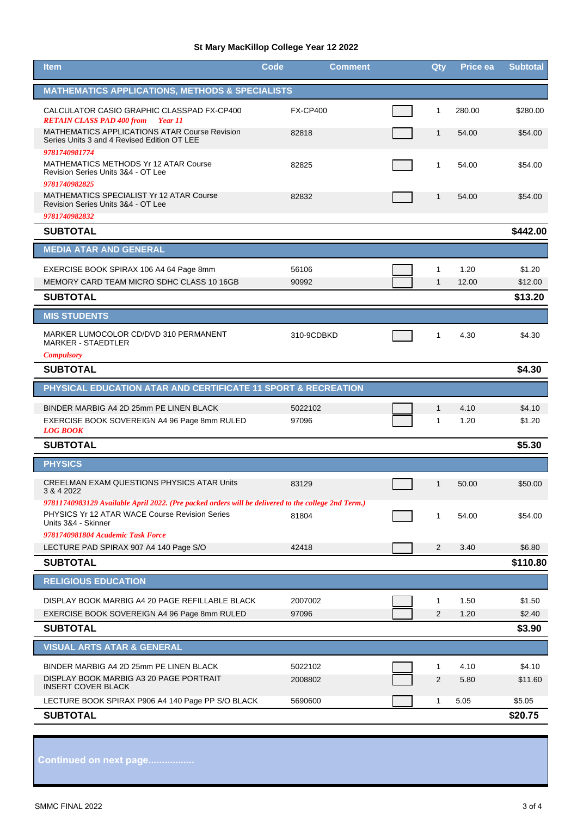## **St Mary MacKillop College Year 12 2022**

| <b>MATHEMATICS APPLICATIONS, METHODS &amp; SPECIALISTS</b><br>CALCULATOR CASIO GRAPHIC CLASSPAD FX-CP400<br><b>FX-CP400</b><br>$\mathbf{1}$<br>280.00<br><b>RETAIN CLASS PAD 400 from Year 11</b><br>MATHEMATICS APPLICATIONS ATAR Course Revision<br>82818<br>$\mathbf{1}$<br>54.00 | \$280.00<br>\$54.00<br>\$54.00 |
|--------------------------------------------------------------------------------------------------------------------------------------------------------------------------------------------------------------------------------------------------------------------------------------|--------------------------------|
|                                                                                                                                                                                                                                                                                      |                                |
|                                                                                                                                                                                                                                                                                      |                                |
| Series Units 3 and 4 Revised Edition OT LEE                                                                                                                                                                                                                                          |                                |
| 9781740981774<br>MATHEMATICS METHODS Yr 12 ATAR Course<br>82825<br>$\mathbf{1}$<br>54.00<br>Revision Series Units 3&4 - OT Lee<br>9781740982825                                                                                                                                      |                                |
| <b>MATHEMATICS SPECIALIST Yr 12 ATAR Course</b><br>82832<br>54.00<br>$\mathbf{1}$<br>Revision Series Units 3&4 - OT Lee                                                                                                                                                              | \$54.00                        |
| 9781740982832<br><b>SUBTOTAL</b>                                                                                                                                                                                                                                                     | \$442.00                       |
| <b>MEDIA ATAR AND GENERAL</b>                                                                                                                                                                                                                                                        |                                |
|                                                                                                                                                                                                                                                                                      |                                |
| EXERCISE BOOK SPIRAX 106 A4 64 Page 8mm<br>56106<br>1.20<br>1<br>MEMORY CARD TEAM MICRO SDHC CLASS 10 16GB<br>12.00<br>90992<br>$\mathbf{1}$                                                                                                                                         | \$1.20<br>\$12.00              |
| <b>SUBTOTAL</b>                                                                                                                                                                                                                                                                      | \$13.20                        |
| <b>MIS STUDENTS</b>                                                                                                                                                                                                                                                                  |                                |
| MARKER LUMOCOLOR CD/DVD 310 PERMANENT<br>310-9CDBKD<br>1<br>4.30                                                                                                                                                                                                                     | \$4.30                         |
| <b>MARKER - STAEDTLER</b><br><b>Compulsory</b>                                                                                                                                                                                                                                       |                                |
| <b>SUBTOTAL</b>                                                                                                                                                                                                                                                                      | \$4.30                         |
| PHYSICAL EDUCATION ATAR AND CERTIFICATE 11 SPORT & RECREATION                                                                                                                                                                                                                        |                                |
| BINDER MARBIG A4 2D 25mm PE LINEN BLACK<br>5022102<br>4.10<br>1                                                                                                                                                                                                                      | \$4.10                         |
| 1.20<br>EXERCISE BOOK SOVEREIGN A4 96 Page 8mm RULED<br>97096<br>$\mathbf{1}$<br><b>LOG BOOK</b>                                                                                                                                                                                     | \$1.20                         |
| <b>SUBTOTAL</b>                                                                                                                                                                                                                                                                      | \$5.30                         |
| <b>PHYSICS</b>                                                                                                                                                                                                                                                                       |                                |
| <b>CREELMAN EXAM QUESTIONS PHYSICS ATAR Units</b><br>83129<br>50.00<br>1<br>3 & 4 2022                                                                                                                                                                                               | \$50.00                        |
| 97811740983129 Available April 2022. (Pre packed orders will be delivered to the college 2nd Term.)<br>PHYSICS Yr 12 ATAR WACE Course Revision Series<br>81804<br>54.00<br>1<br>Units 3&4 - Skinner                                                                                  | \$54.00                        |
| 9781740981804 Academic Task Force<br>LECTURE PAD SPIRAX 907 A4 140 Page S/O<br>2<br>3.40<br>42418                                                                                                                                                                                    | \$6.80                         |
| <b>SUBTOTAL</b>                                                                                                                                                                                                                                                                      | \$110.80                       |
| <b>RELIGIOUS EDUCATION</b>                                                                                                                                                                                                                                                           |                                |
| DISPLAY BOOK MARBIG A4 20 PAGE REFILLABLE BLACK<br>2007002<br>1.50<br>1                                                                                                                                                                                                              | \$1.50                         |
| EXERCISE BOOK SOVEREIGN A4 96 Page 8mm RULED<br>97096<br>2<br>1.20                                                                                                                                                                                                                   | \$2.40                         |
| <b>SUBTOTAL</b>                                                                                                                                                                                                                                                                      | \$3.90                         |
| <b>VISUAL ARTS ATAR &amp; GENERAL</b>                                                                                                                                                                                                                                                |                                |
| BINDER MARBIG A4 2D 25mm PE LINEN BLACK<br>5022102<br>4.10<br>1                                                                                                                                                                                                                      | \$4.10                         |
| DISPLAY BOOK MARBIG A3 20 PAGE PORTRAIT<br>$\overline{2}$<br>5.80<br>2008802<br><b>INSERT COVER BLACK</b>                                                                                                                                                                            | \$11.60                        |
| LECTURE BOOK SPIRAX P906 A4 140 Page PP S/O BLACK<br>5690600<br>5.05<br>$\mathbf{1}$                                                                                                                                                                                                 | \$5.05                         |
| <b>SUBTOTAL</b>                                                                                                                                                                                                                                                                      | \$20.75                        |

**Continued on next page.................**